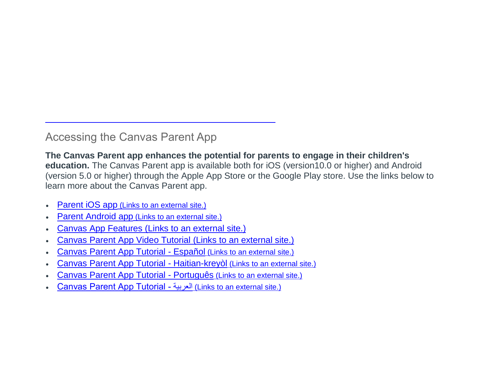### Accessing the Canvas Parent App

**The Canvas Parent app enhances the potential for parents to engage in their children's education.** The Canvas Parent app is available both for iOS (version10.0 or higher) and Android (version 5.0 or higher) through the Apple App Store or the Google Play store. Use the links below to learn more about the Canvas Parent app.

- [Parent iOS app](https://community.canvaslms.com/docs/DOC-9911-59346560956) (Links to an external site.)
- [Parent Android app](https://community.canvaslms.com/docs/DOC-9896-59347560721) (Links to an external site.)
- [Canvas App Features](https://community.canvaslms.com/docs/DOC-10718-67952620813) (Links to an external site.)
- [Canvas Parent App Video Tutorial](https://community.canvaslms.com/videos/3950-canvas-parent-app) (Links to an external site.)
- [Canvas Parent App Tutorial -](https://www.brainshark.com/browardschools/vu?pi=zGSzIiJEIzCJMdz0) Español (Links to an external site.)
- [Canvas Parent App Tutorial -](https://www.brainshark.com/browardschools/vu?pi=zHozZcZmYzCJMdz0) Haitian-kreyòl (Links to an external site.)
- [Canvas Parent App Tutorial -](https://www.brainshark.com/browardschools/vu?pi=zHPzcAlCqzCJMdz0) Português (Links to an external site.)
- [Canvas Parent App Tutorial -](https://www.brainshark.com/browardschools/vu?pi=zGqzkKgO6zCJMdz0) العربية) Links to an external site.)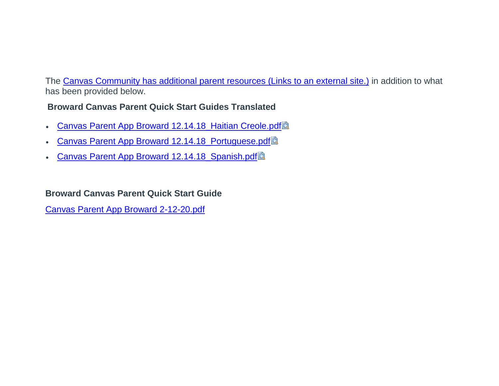The [Canvas Community has additional](https://community.canvaslms.com/groups/observers/pages/home) parent resources (Links to an external site.) in addition to what has been provided below.

#### **Broward Canvas Parent Quick Start Guides Translated**

- Canvas Parent App [Broward 12.14.18\\_Haitian Creole.pdf](https://browardschools.instructure.com/courses/411/files/43464156/download?wrap=1)
- Canvas Parent App Broward 12.14.18 Portuguese.pdf
- Canvas Parent App Broward 12.14.18 Spanish.pdf

**Broward Canvas Parent Quick Start Guide**

[Canvas Parent App Broward 2-12-20.pdf](https://browardschools.instructure.com/courses/411/files/46487634/download?wrap=1)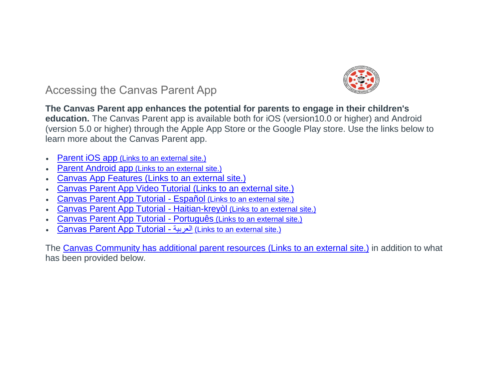

Accessing the Canvas Parent App

**The Canvas Parent app enhances the potential for parents to engage in their children's education.** The Canvas Parent app is available both for iOS (version10.0 or higher) and Android (version 5.0 or higher) through the Apple App Store or the Google Play store. Use the links below to learn more about the Canvas Parent app.

- [Parent iOS app](https://community.canvaslms.com/docs/DOC-9911-59346560956) (Links to an external site.)
- **[Parent Android app](https://community.canvaslms.com/docs/DOC-9896-59347560721) (Links to an external site.)**
- [Canvas App Features](https://community.canvaslms.com/docs/DOC-10718-67952620813) (Links to an external site.)
- [Canvas Parent App Video Tutorial](https://community.canvaslms.com/videos/3950-canvas-parent-app) (Links to an external site.)
- [Canvas Parent App Tutorial -](https://www.brainshark.com/browardschools/vu?pi=zGSzIiJEIzCJMdz0) Español (Links to an external site.)
- [Canvas Parent App Tutorial -](https://www.brainshark.com/browardschools/vu?pi=zHozZcZmYzCJMdz0) Haitian-kreyòl (Links to an external site.)
- [Canvas Parent App Tutorial -](https://www.brainshark.com/browardschools/vu?pi=zHPzcAlCqzCJMdz0) Português (Links to an external site.)
- [Canvas Parent App Tutorial -](https://www.brainshark.com/browardschools/vu?pi=zGqzkKgO6zCJMdz0) العربية) Links to an external site.)

The [Canvas Community has additional parent resources](https://community.canvaslms.com/groups/observers/pages/home) (Links to an external site.) in addition to what has been provided below.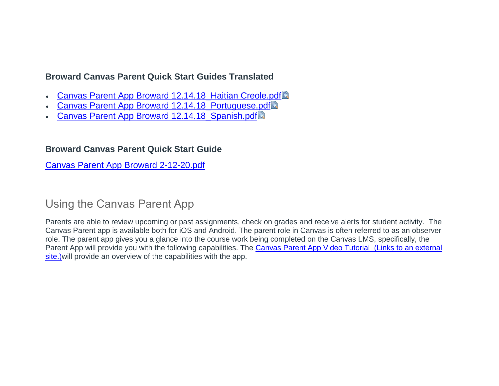#### **Broward Canvas Parent Quick Start Guides Translated**

- [Canvas Parent App Broward 12.14.18\\_Haitian Creole.pdf](https://browardschools.instructure.com/courses/411/files/43464156/download?wrap=1)
- [Canvas Parent App Broward 12.14.18\\_Portuguese.pdf](https://browardschools.instructure.com/courses/411/files/43464246/download?wrap=1)
- Canvas Parent App Broward 12.14.18 Spanish.pdf

#### **Broward Canvas Parent Quick Start Guide**

[Canvas Parent App Broward 2-12-20.pdf](https://browardschools.instructure.com/courses/411/files/46487634/download?wrap=1)

### Using the Canvas Parent App

Parents are able to review upcoming or past assignments, check on grades and receive alerts for student activity. The Canvas Parent app is available both for iOS and Android. The parent role in Canvas is often referred to as an observer role. The parent app gives you a glance into the course work being completed on the Canvas LMS, specifically, the Parent App will provide you with the following capabilities. The [Canvas Parent App Video Tutorial](https://community.canvaslms.com/videos/3950-canvas-parent-app) (Links to an external site.) will provide an overview of the capabilities with the app.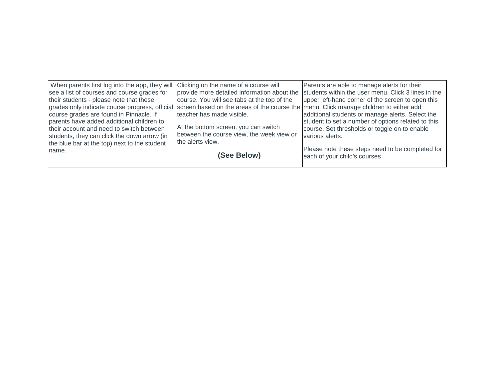| Clicking on the name of a course will<br>When parents first log into the app, they will<br>see a list of courses and course grades for<br>their students - please note that these<br>course. You will see tabs at the top of the<br>grades only indicate course progress, official screen based on the areas of the course the menu. Click manage children to either add<br>course grades are found in Pinnacle. If<br>teacher has made visible.<br>parents have added additional children to<br>At the bottom screen, you can switch<br>their account and need to switch between<br>between the course view, the week view or<br>students, they can click the down arrow (in<br>the alerts view.<br>the blue bar at the top) next to the student<br>name.<br>(See Below) | Parents are able to manage alerts for their<br>provide more detailed information about the students within the user menu. Click 3 lines in the<br>upper left-hand corner of the screen to open this<br>additional students or manage alerts. Select the<br>student to set a number of options related to this<br>course. Set thresholds or toggle on to enable<br>various alerts.<br>Please note these steps need to be completed for<br>each of your child's courses. |
|---------------------------------------------------------------------------------------------------------------------------------------------------------------------------------------------------------------------------------------------------------------------------------------------------------------------------------------------------------------------------------------------------------------------------------------------------------------------------------------------------------------------------------------------------------------------------------------------------------------------------------------------------------------------------------------------------------------------------------------------------------------------------|------------------------------------------------------------------------------------------------------------------------------------------------------------------------------------------------------------------------------------------------------------------------------------------------------------------------------------------------------------------------------------------------------------------------------------------------------------------------|
|---------------------------------------------------------------------------------------------------------------------------------------------------------------------------------------------------------------------------------------------------------------------------------------------------------------------------------------------------------------------------------------------------------------------------------------------------------------------------------------------------------------------------------------------------------------------------------------------------------------------------------------------------------------------------------------------------------------------------------------------------------------------------|------------------------------------------------------------------------------------------------------------------------------------------------------------------------------------------------------------------------------------------------------------------------------------------------------------------------------------------------------------------------------------------------------------------------------------------------------------------------|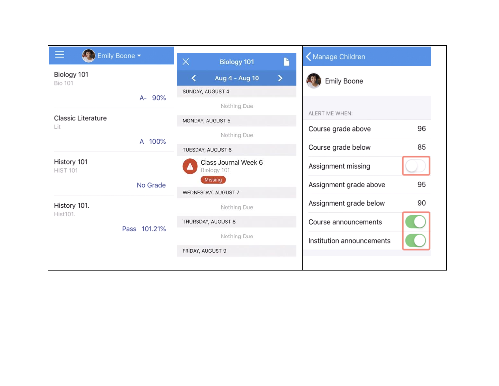| Emily Boone v                    |              | $\times$           | <b>Biology 101</b>                  | ĥ             | K Manage Children         |    |
|----------------------------------|--------------|--------------------|-------------------------------------|---------------|---------------------------|----|
| Biology 101<br><b>Bio 101</b>    |              |                    | Aug 4 - Aug 10                      | $\rightarrow$ | <b>Emily Boone</b>        |    |
| A- 90%                           |              |                    | SUNDAY, AUGUST 4<br>Nothing Due     |               |                           |    |
| <b>Classic Literature</b><br>Lit |              | MONDAY, AUGUST 5   |                                     |               | ALERT ME WHEN:            |    |
|                                  |              |                    | Nothing Due                         |               | Course grade above        | 96 |
|                                  | A 100%       |                    | TUESDAY, AUGUST 6                   |               | Course grade below        | 85 |
| History 101<br><b>HIST 101</b>   |              |                    | Class Journal Week 6<br>Biology 101 |               | Assignment missing        |    |
|                                  | No Grade     |                    | Missing<br>WEDNESDAY, AUGUST 7      |               | Assignment grade above    | 95 |
| History 101.<br>Hist101.         |              | Nothing Due        |                                     |               | Assignment grade below    | 90 |
|                                  | Pass 101.21% | THURSDAY, AUGUST 8 |                                     |               | Course announcements      |    |
|                                  |              | Nothing Due        |                                     |               | Institution announcements |    |
|                                  |              | FRIDAY, AUGUST 9   |                                     |               |                           |    |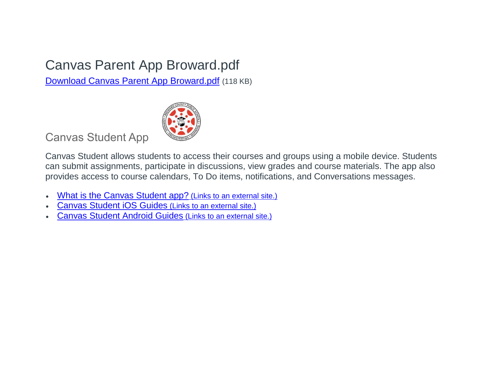# Canvas Parent App Broward.pdf

[Download Canvas Parent App Broward.pdf](https://browardschools.instructure.com/courses/411/files/68591064/download?download_frd=1) (118 KB)



Canvas Student App

Canvas Student allows students to access their courses and groups using a mobile device. Students can submit assignments, participate in discussions, view grades and course materials. The app also provides access to course calendars, To Do items, notifications, and Conversations messages.

- [What is the Canvas Student app?](https://community.canvaslms.com/docs/DOC-14241-67952843574) (Links to an external site.)
- [Canvas Student iOS Guides](https://community.canvaslms.com/docs/DOC-9867-canvas-by-instructure-ios-guide-table-of-contents) (Links to an external site.)
- [Canvas Student Android Guides](https://community.canvaslms.com/docs/DOC-9811-canvas-student-android-guide-table-of-contents) (Links to an external site.)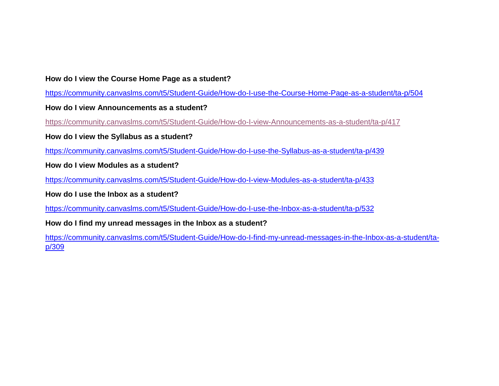#### **How do I view the Course Home Page as a student?**

<https://community.canvaslms.com/t5/Student-Guide/How-do-I-use-the-Course-Home-Page-as-a-student/ta-p/504>

**How do I view Announcements as a student?** 

<https://community.canvaslms.com/t5/Student-Guide/How-do-I-view-Announcements-as-a-student/ta-p/417>

**How do I view the Syllabus as a student?**

<https://community.canvaslms.com/t5/Student-Guide/How-do-I-use-the-Syllabus-as-a-student/ta-p/439>

**How do I view Modules as a student?**

<https://community.canvaslms.com/t5/Student-Guide/How-do-I-view-Modules-as-a-student/ta-p/433>

**How do I use the Inbox as a student?**

<https://community.canvaslms.com/t5/Student-Guide/How-do-I-use-the-Inbox-as-a-student/ta-p/532>

**How do I find my unread messages in the Inbox as a student?**

[https://community.canvaslms.com/t5/Student-Guide/How-do-I-find-my-unread-messages-in-the-Inbox-as-a-student/ta](https://community.canvaslms.com/t5/Student-Guide/How-do-I-find-my-unread-messages-in-the-Inbox-as-a-student/ta-p/309)[p/309](https://community.canvaslms.com/t5/Student-Guide/How-do-I-find-my-unread-messages-in-the-Inbox-as-a-student/ta-p/309)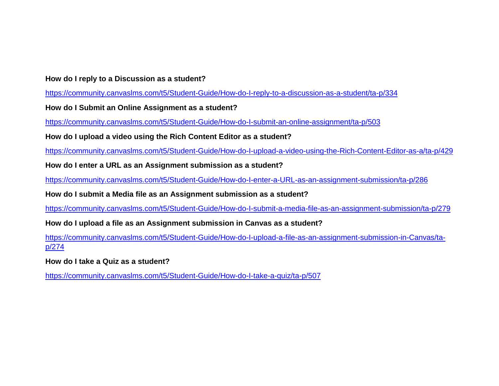#### **How do I reply to a Discussion as a student?**

<https://community.canvaslms.com/t5/Student-Guide/How-do-I-reply-to-a-discussion-as-a-student/ta-p/334>

**How do I Submit an Online Assignment as a student?**

<https://community.canvaslms.com/t5/Student-Guide/How-do-I-submit-an-online-assignment/ta-p/503>

**How do I upload a video using the Rich Content Editor as a student?**

<https://community.canvaslms.com/t5/Student-Guide/How-do-I-upload-a-video-using-the-Rich-Content-Editor-as-a/ta-p/429>

**How do I enter a URL as an Assignment submission as a student?**

<https://community.canvaslms.com/t5/Student-Guide/How-do-I-enter-a-URL-as-an-assignment-submission/ta-p/286>

**How do I submit a Media file as an Assignment submission as a student?**

<https://community.canvaslms.com/t5/Student-Guide/How-do-I-submit-a-media-file-as-an-assignment-submission/ta-p/279>

**How do I upload a file as an Assignment submission in Canvas as a student?**

[https://community.canvaslms.com/t5/Student-Guide/How-do-I-upload-a-file-as-an-assignment-submission-in-Canvas/ta](https://community.canvaslms.com/t5/Student-Guide/How-do-I-upload-a-file-as-an-assignment-submission-in-Canvas/ta-p/274)[p/274](https://community.canvaslms.com/t5/Student-Guide/How-do-I-upload-a-file-as-an-assignment-submission-in-Canvas/ta-p/274)

**How do I take a Quiz as a student?**

<https://community.canvaslms.com/t5/Student-Guide/How-do-I-take-a-quiz/ta-p/507>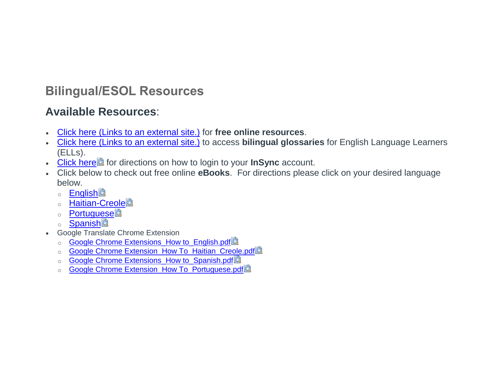## **Bilingual/ESOL Resources**

## **Available Resources**:

- [Click here](https://www.browardschools.com/Page/38576) (Links to an external site.) for **free online resources**.
- [Click here](https://steinhardt.nyu.edu/metrocenter/resources/glossaries) (Links to an external site.) to access **bilingual glossaries** for English Language Learners (ELLs).
- [Click here](https://browardschools.instructure.com/courses/411/files/47256276/download?wrap=1)**th** for directions on how to login to your **InSync** account.
- Click below to check out free online **eBooks**. For directions please click on your desired language below.
	- 。 [English](https://browardschools.instructure.com/courses/411/files/47256277/download?wrap=1)A
	- **o** [Haitian-Creole](https://browardschools.instructure.com/courses/411/files/47256274/download?wrap=1)
	- [Portuguese](https://browardschools.instructure.com/courses/411/files/47256273/download?wrap=1)**</u>**
	- **o** [Spanish](https://browardschools.instructure.com/courses/411/files/47256272/download?wrap=1)
- Google Translate Chrome Extension
	- o [Google Chrome Extensions\\_How to\\_English.pdf](https://browardschools.instructure.com/courses/411/files/64720165/download?wrap=1)
	- Google Chrome Extension How To\_Haitian\_Creole.pdf
	- o [Google Chrome Extensions\\_How to\\_Spanish.pdf](https://browardschools.instructure.com/courses/411/files/64720212/download?wrap=1)
	- o [Google Chrome Extension\\_How To\\_Portuguese.pdf](https://browardschools.instructure.com/courses/411/files/64720118/download?wrap=1)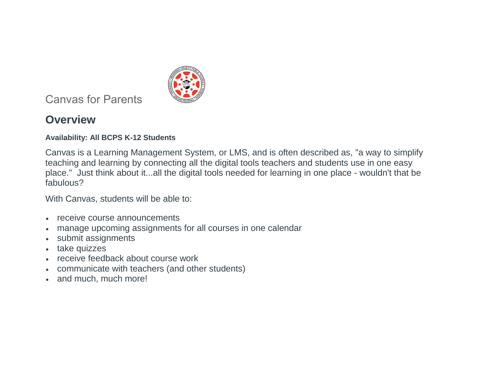

Canvas for Parents

### **Overview**

#### **Availability: All BCPS K-12 Students**

Canvas is a Learning Management System, or LMS, and is often described as, "a way to simplify teaching and learning by connecting all the digital tools teachers and students use in one easy place." Just think about it...all the digital tools needed for learning in one place - wouldn't that be fabulous?

With Canvas, students will be able to:

- receive course announcements
- manage upcoming assignments for all courses in one calendar
- submit assignments
- take quizzes
- receive feedback about course work
- communicate with teachers (and other students)
- and much, much more!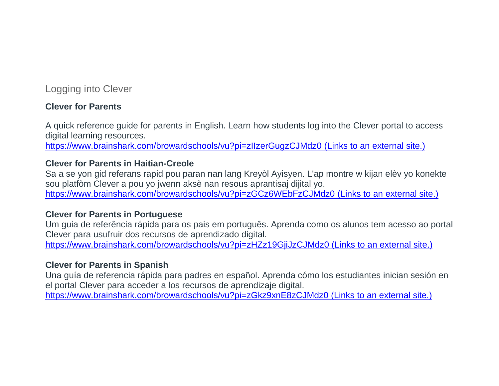### Logging into Clever

#### **Clever for Parents**

A quick reference guide for parents in English. Learn how students log into the Clever portal to access digital learning resources.

[https://www.brainshark.com/browardschools/vu?pi=zIIzerGugzCJMdz0](https://nam04.safelinks.protection.outlook.com/?url=https%3A%2F%2Fwww.brainshark.com%2Fbrowardschools%2Fvu%3Fpi%3DzIIzerGugzCJMdz0&data=02%7C01%7Cmartina.blanco%40browardschools.com%7Ca11960430b134fdf314508d816d8f0cc%7Ceeacb5cb53704358a96aa3783c95d422%7C1%7C0%7C637284468306134785&sdata=q%2FACKMcDLeHK4cLXJWZ1PakjHWrnI%2FoAVVAqq32dtbY%3D&reserved=0) (Links to an external site.)

#### **Clever for Parents in Haitian-Creole**

Sa a se yon gid referans rapid pou paran nan lang Kreyòl Ayisyen. L'ap montre w kijan elèv yo konekte sou platfòm Clever a pou yo jwenn aksè nan resous aprantisaj dijital yo. [https://www.brainshark.com/browardschools/vu?pi=zGCz6WEbFzCJMdz0](https://nam04.safelinks.protection.outlook.com/?url=https%3A%2F%2Fwww.brainshark.com%2Fbrowardschools%2Fvu%3Fpi%3DzGCz6WEbFzCJMdz0&data=02%7C01%7Cmartina.blanco%40browardschools.com%7Ca11960430b134fdf314508d816d8f0cc%7Ceeacb5cb53704358a96aa3783c95d422%7C1%7C0%7C637284468306174763&sdata=d7OJVdDbvNr0e6S8%2BHPRHEYp7eu1jI8NlfIbW4RLSD4%3D&reserved=0) (Links to an external site.)

#### **Clever for Parents in Portuguese**

Um guia de referência rápida para os pais em português. Aprenda como os alunos tem acesso ao portal Clever para usufruir dos recursos de aprendizado digital. [https://www.brainshark.com/browardschools/vu?pi=zHZz19GjiJzCJMdz0](https://nam04.safelinks.protection.outlook.com/?url=https%3A%2F%2Fwww.brainshark.com%2Fbrowardschools%2Fvu%3Fpi%3DzHZz19GjiJzCJMdz0&data=02%7C01%7Cmartina.blanco%40browardschools.com%7Ca11960430b134fdf314508d816d8f0cc%7Ceeacb5cb53704358a96aa3783c95d422%7C1%7C0%7C637284468306184759&sdata=6ZMIn5oHgm0WMnETTfFOiBPhVM67JOkb%2FEWQ4JE8%2Brk%3D&reserved=0) (Links to an external site.)

#### **Clever for Parents in Spanish**

Una guía de referencia rápida para padres en español. Aprenda cómo los estudiantes inician sesión en el portal Clever para acceder a los recursos de aprendizaje digital. [https://www.brainshark.com/browardschools/vu?pi=zGkz9xnE8zCJMdz0](https://nam04.safelinks.protection.outlook.com/?url=https%3A%2F%2Fwww.brainshark.com%2Fbrowardschools%2Fvu%3Fpi%3DzGkz9xnE8zCJMdz0&data=02%7C01%7Cmartina.blanco%40browardschools.com%7Ca11960430b134fdf314508d816d8f0cc%7Ceeacb5cb53704358a96aa3783c95d422%7C1%7C0%7C637284468306194760&sdata=mDw0mkCe8jwGWjvYIWxSQZaL8bqGNt6Z73BC43XaOIo%3D&reserved=0) (Links to an external site.)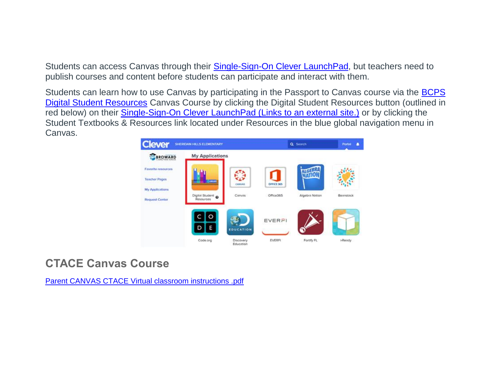Students can access Canvas through their [Single-Sign-On Clever LaunchPad,](https://clever.com/in/broward/student/portal) but teachers need to publish courses and content before students can participate and interact with them.

Students can learn how to use Canvas by participating in the Passport to Canvas course via the **BCPS** [Digital Student Resources](https://browardschools.instructure.com/courses/236351) Canvas Course by clicking the Digital Student Resources button (outlined in red below) on their [Single-Sign-On Clever](https://clever.com/in/broward/student/portal) LaunchPad (Links to an external site.) or by clicking the Student Textbooks & Resources link located under Resources in the blue global navigation menu in Canvas.



## **CTACE Canvas Course**

[Parent CANVAS CTACE Virtual classroom instructions .pdf](https://browardschools.instructure.com/courses/411/files/47186452/download?wrap=1)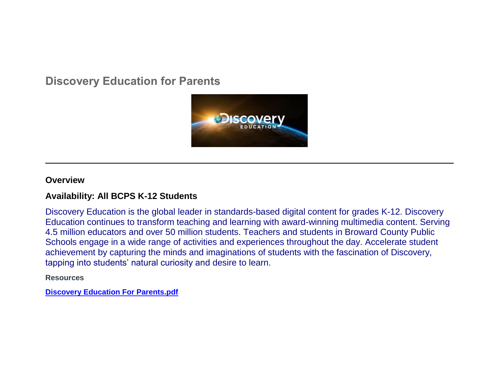### **Discovery Education for Parents**



#### **Overview**

#### **Availability: All BCPS K-12 Students**

Discovery Education is the global leader in standards-based digital content for grades K-12. Discovery Education continues to transform teaching and learning with award-winning multimedia content. Serving 4.5 million educators and over 50 million students. Teachers and students in Broward County Public Schools engage in a wide range of activities and experiences throughout the day. Accelerate student achievement by capturing the minds and imaginations of students with the fascination of Discovery, tapping into students' natural curiosity and desire to learn.

#### **Resources**

**[Discovery Education For Parents.pdf](https://browardschools.instructure.com/courses/411/files/47123813/download?wrap=1)**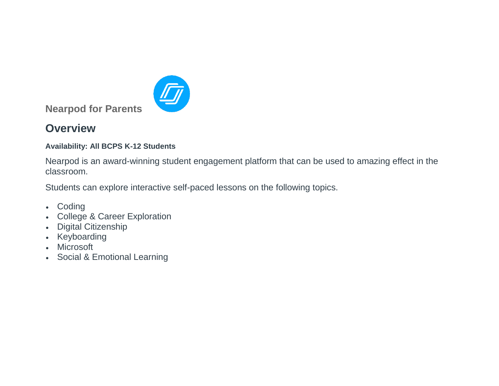

**Nearpod for Parents**

### **Overview**

#### **Availability: All BCPS K-12 Students**

Nearpod is an award-winning student engagement platform that can be used to amazing effect in the classroom.

Students can explore interactive self-paced lessons on the following topics.

- Coding
- College & Career Exploration
- Digital Citizenship
- Keyboarding
- Microsoft
- Social & Emotional Learning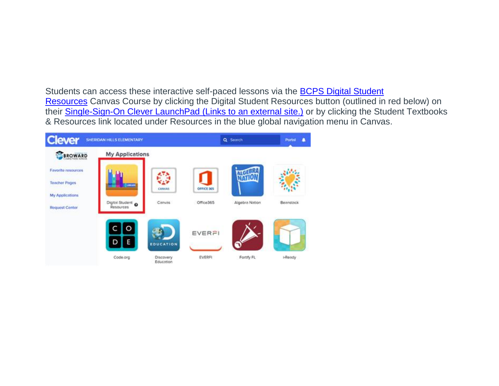Students can access these interactive self-paced lessons via the [BCPS Digital Student](https://browardschools.instructure.com/courses/236351)  [Resources](https://browardschools.instructure.com/courses/236351) Canvas Course by clicking the Digital Student Resources button (outlined in red below) on their **[Single-Sign-On Clever](https://clever.com/in/broward/student/portal) LaunchPad (Links to an external site.)** or by clicking the Student Textbooks & Resources link located under Resources in the blue global navigation menu in Canvas.

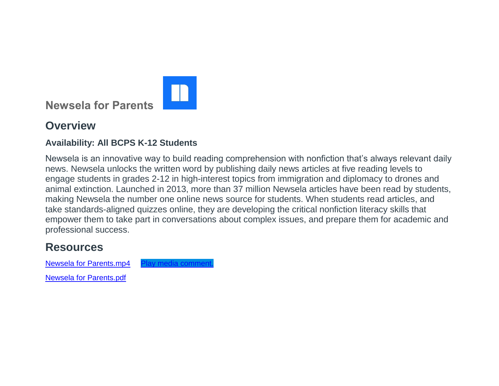

## **Newsela for Parents**

### **Overview**

#### **Availability: All BCPS K-12 Students**

Newsela is an innovative way to build reading comprehension with nonfiction that's always relevant daily news. Newsela unlocks the written word by publishing daily news articles at five reading levels to engage students in grades 2-12 in high-interest topics from immigration and diplomacy to drones and animal extinction. Launched in 2013, more than 37 million Newsela articles have been read by students, making Newsela the number one online news source for students. When students read articles, and take standards-aligned quizzes online, they are developing the critical nonfiction literacy skills that empower them to take part in conversations about complex issues, and prepare them for academic and professional success.

### **Resources**

[Newsela for Parents.mp4](https://browardschools.instructure.com/courses/411/files/43745596/download?wrap=1) Play media comment

[Newsela for Parents.pdf](https://browardschools.instructure.com/courses/411/files/44358702/download?wrap=1)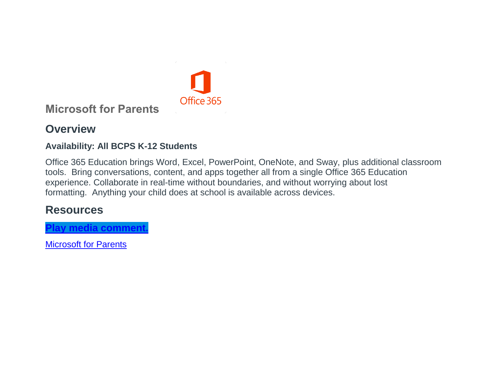

**Microsoft for Parents**

### **Overview**

#### **Availability: All BCPS K-12 Students**

Office 365 Education brings Word, Excel, PowerPoint, OneNote, and Sway, plus additional classroom tools. Bring conversations, content, and apps together all from a single Office 365 Education experience. Collaborate in real-time without boundaries, and without worrying about lost formatting. Anything your child does at school is available across devices.

### **Resources**

**Play media [comment.](https://browardschools.instructure.com/courses/411/pages/microsoft-for-parents?module_item_id=22384610)**

[Microsoft for Parents](https://browardschools.instructure.com/courses/411/files/47123817/download?wrap=1)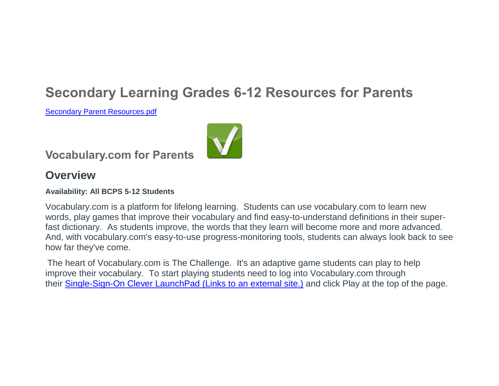# **Secondary Learning Grades 6-12 Resources for Parents**

[Secondary Parent Resources.pdf](https://browardschools.instructure.com/courses/411/files/47186388/download?wrap=1)

## **Vocabulary.com for Parents**



### **Overview**

#### **Availability: All BCPS 5-12 Students**

Vocabulary.com is a platform for lifelong learning. Students can use vocabulary.com to learn new words, play games that improve their vocabulary and find easy-to-understand definitions in their superfast dictionary. As students improve, the words that they learn will become more and more advanced. And, with vocabulary.com's easy-to-use progress-monitoring tools, students can always look back to see how far they've come.

The heart of Vocabulary.com is The Challenge. It's an adaptive game students can play to help improve their vocabulary. To start playing students need to log into Vocabulary.com through their [Single-Sign-On Clever](https://clever.com/in/broward/student/portal) LaunchPad (Links to an external site.) and click Play at the top of the page.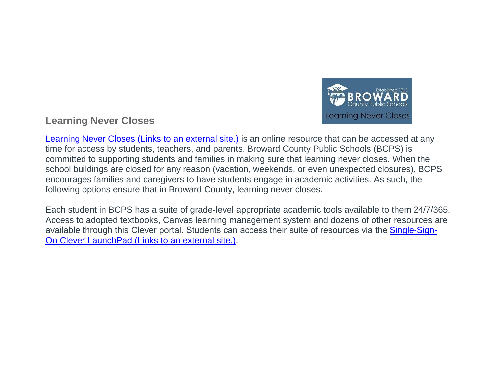

#### **Learning Never Closes**

[Learning Never Closes](https://www.browardschools.com/page/50590) (Links to an external site.) is an online resource that can be accessed at any time for access by students, teachers, and parents. Broward County Public Schools (BCPS) is committed to supporting students and families in making sure that learning never closes. When the school buildings are closed for any reason (vacation, weekends, or even unexpected closures), BCPS encourages families and caregivers to have students engage in academic activities. As such, the following options ensure that in Broward County, learning never closes.

Each student in BCPS has a suite of grade-level appropriate academic tools available to them 24/7/365. Access to adopted textbooks, Canvas learning management system and dozens of other resources are available through this Clever portal. Students can access their suite of resources via the[Single-Sign-](https://clever.com/in/broward/student/portal)On Clever [LaunchPad](https://clever.com/in/broward/student/portal) (Links to an external site.).